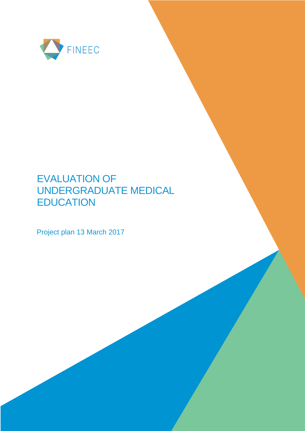

# EVALUATION OF UNDERGRADUATE MEDICAL **EDUCATION**

Project plan 13 March 2017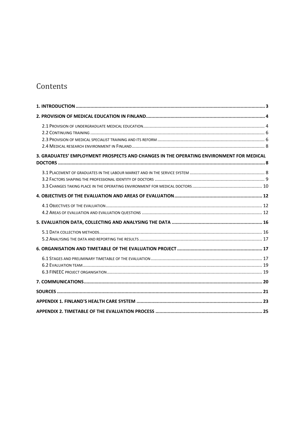## Contents

| 3. GRADUATES' EMPLOYMENT PROSPECTS AND CHANGES IN THE OPERATING ENVIRONMENT FOR MEDICAL |  |
|-----------------------------------------------------------------------------------------|--|
|                                                                                         |  |
|                                                                                         |  |
|                                                                                         |  |
|                                                                                         |  |
|                                                                                         |  |
|                                                                                         |  |
|                                                                                         |  |
|                                                                                         |  |
|                                                                                         |  |
|                                                                                         |  |
|                                                                                         |  |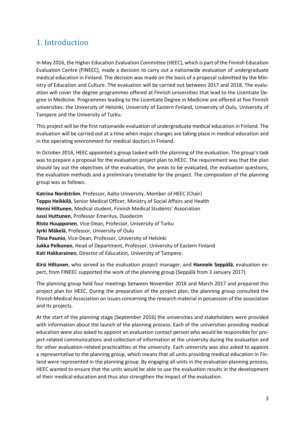## <span id="page-2-0"></span>1. Introduction

In May 2016, the Higher Education Evaluation Committee (HEEC), which is part of the Finnish Education Evaluation Centre (FINEEC), made a decision to carry out a nationwide evaluation of undergraduate medical education in Finland. The decision was made on the basis of a proposal submitted by the Ministry of Education and Culture. The evaluation will be carried out between 2017 and 2018. The evaluation will cover the degree programmes offered at Finnish universities that lead to the Licentiate Degree in Medicine. Programmes leading to the Licentiate Degree in Medicine are offered at five Finnish universities: the University of Helsinki, University of Eastern Finland, University of Oulu, University of Tampere and the University of Turku.

This project will be the first nationwide evaluation of undergraduate medical education in Finland. The evaluation will be carried out at a time when major changes are taking place in medical education and in the operating environment for medical doctors in Finland.

In October 2016, HEEC appointed a group tasked with the planning of the evaluation. The group's task was to prepare a proposal for the evaluation project plan to HEEC. The requirement was that the plan should lay out the objectives of the evaluation, the areas to be evaluated, the evaluation questions, the evaluation methods and a preliminary timetable for the project. The composition of the planning group was as follows:

**Katrina Nordström**, Professor, Aalto University, Member of HEEC (Chair) **Teppo Heikkilä**, Senior Medical Officer, Ministry of Social Affairs and Health **Henni Hiltunen**, Medical student, Finnish Medical Students' Association **Jussi Huttunen**, Professor Emeritus, Duodecim **RIsto Huupponen**, Vice-Dean, Professor, University of Turku **Jyrki Mäkelä**, Professor, University of Oulu **Tiina Paunio**, Vice-Dean, Professor, University of Helsinki **Jukka Pelkonen**, Head of Department, Professor, University of Eastern Finland **Kati Hakkarainen**, Director of Education, University of Tampere.

**Kirsi Hiltunen**, who served as the evaluation project manager, and **Hannele Seppälä**, evaluation expert, from FINEEC supported the work of the planning group (Seppälä from 2 January 2017).

The planning group held four meetings between November 2016 and March 2017 and prepared this project plan for HEEC. During the preparation of the project plan, the planning group consulted the Finnish Medical Association on issues concerning the research material in possession of the association and its projects.

At the start of the planning stage (September 2016) the universities and stakeholders were provided with information about the launch of the planning process. Each of the universities providing medical education were also asked to appoint an evaluation contact person who would be responsible for project-related communications and collection of information at the university during the evaluation and for other evaluation-related practicalities at the university. Each university was also asked to appoint a representative to the planning group, which means that all units providing medical education in Finland were represented in the planning group. By engaging all units in the evaluation planning process, HEEC wanted to ensure that the units would be able to use the evaluation results in the development of their medical education and thus also strengthen the impact of the evaluation.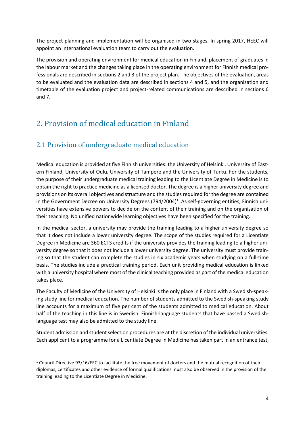The project planning and implementation will be organised in two stages. In spring 2017, HEEC will appoint an international evaluation team to carry out the evaluation.

The provision and operating environment for medical education in Finland, placement of graduates in the labour market and the changes taking place in the operating environment for Finnish medical professionals are described in sections 2 and 3 of the project plan. The objectives of the evaluation, areas to be evaluated and the evaluation data are described in sections 4 and 5, and the organisation and timetable of the evaluation project and project-related communications are described in sections 6 and 7.

## <span id="page-3-0"></span>2. Provision of medical education in Finland

### <span id="page-3-1"></span>2.1 Provision of undergraduate medical education

 $\overline{\phantom{a}}$ 

Medical education is provided at five Finnish universities: the University of Helsinki, University of Eastern Finland, University of Oulu, University of Tampere and the University of Turku. For the students, the purpose of their undergraduate medical training leading to the Licentiate Degree in Medicine is to obtain the right to practice medicine as a licensed doctor. The degree is a higher university degree and provisions on its overall objectives and structure and the studies required for the degree are contained in the Government Decree on University Degrees (794/2004)<sup>1</sup>. As self-governing entities, Finnish universities have extensive powers to decide on the content of their training and on the organisation of their teaching. No unified nationwide learning objectives have been specified for the training.

In the medical sector, a university may provide the training leading to a higher university degree so that it does not include a lower university degree. The scope of the studies required for a Licentiate Degree in Medicine are 360 ECTS credits if the university provides the training leading to a higher university degree so that it does not include a lower university degree. The university must provide training so that the student can complete the studies in six academic years when studying on a full-time basis. The studies include a practical training period. Each unit providing medical education is linked with a university hospital where most of the clinical teaching provided as part of the medical education takes place.

The Faculty of Medicine of the University of Helsinki is the only place in Finland with a Swedish-speaking study line for medical education. The number of students admitted to the Swedish-speaking study line accounts for a maximum of five per cent of the students admitted to medical education. About half of the teaching in this line is in Swedish. Finnish-language students that have passed a Swedishlanguage test may also be admitted to the study line.

Student admission and student selection procedures are at the discretion of the individual universities. Each applicant to a programme for a Licentiate Degree in Medicine has taken part in an entrance test,

<sup>1</sup> Council Directive 93/16/EEC to facilitate the free movement of doctors and the mutual recognition of their diplomas, certificates and other evidence of formal qualifications must also be observed in the provision of the training leading to the Licentiate Degree in Medicine.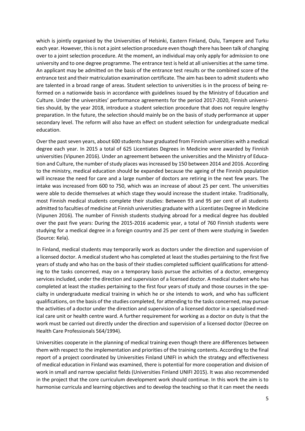which is jointly organised by the Universities of Helsinki, Eastern Finland, Oulu, Tampere and Turku each year. However, this is not a joint selection procedure even though there has been talk of changing over to a joint selection procedure. At the moment, an individual may only apply for admission to one university and to one degree programme. The entrance test is held at all universities at the same time. An applicant may be admitted on the basis of the entrance test results or the combined score of the entrance test and their matriculation examination certificate. The aim has been to admit students who are talented in a broad range of areas. Student selection to universities is in the process of being reformed on a nationwide basis in accordance with guidelines issued by the Ministry of Education and Culture. Under the universities' performance agreements for the period 2017-2020, Finnish universities should, by the year 2018, introduce a student selection procedure that does not require lengthy preparation. In the future, the selection should mainly be on the basis of study performance at upper secondary level. The reform will also have an effect on student selection for undergraduate medical education.

Over the past seven years, about 600 students have graduated from Finnish universities with a medical degree each year. In 2015 a total of 625 Licentiates Degrees in Medicine were awarded by Finnish universities (Vipunen 2016). Under an agreement between the universities and the Ministry of Education and Culture, the number of study places was increased by 150 between 2014 and 2016. According to the ministry, medical education should be expanded because the ageing of the Finnish population will increase the need for care and a large number of doctors are retiring in the next few years. The intake was increased from 600 to 750, which was an increase of about 25 per cent. The universities were able to decide themselves at which stage they would increase the student intake. Traditionally, most Finnish medical students complete their studies: Between 93 and 95 per cent of all students admitted to faculties of medicine at Finnish universities graduate with a Licentiates Degree in Medicine (Vipunen 2016). The number of Finnish students studying abroad for a medical degree has doubled over the past five years: During the 2015-2016 academic year, a total of 760 Finnish students were studying for a medical degree in a foreign country and 25 per cent of them were studying in Sweden (Source: Kela).

In Finland, medical students may temporarily work as doctors under the direction and supervision of a licensed doctor. A medical student who has completed at least the studies pertaining to the first five years of study and who has on the basis of their studies completed sufficient qualifications for attending to the tasks concerned, may on a temporary basis pursue the activities of a doctor, emergency services included, under the direction and supervision of a licensed doctor. A medical student who has completed at least the studies pertaining to the first four years of study and those courses in the specialty in undergraduate medical training in which he or she intends to work, and who has sufficient qualifications, on the basis of the studies completed, for attending to the tasks concerned, may pursue the activities of a doctor under the direction and supervision of a licensed doctor in a specialised medical care unit or health centre ward. A further requirement for working as a doctor on duty is that the work must be carried out directly under the direction and supervision of a licensed doctor (Decree on Health Care Professionals 564/1994).

Universities cooperate in the planning of medical training even though there are differences between them with respect to the implementation and priorities of the training contents. According to the final report of a project coordinated by Universities Finland UNIFI in which the strategy and effectiveness of medical education in Finland was examined, there is potential for more cooperation and division of work in small and narrow specialist fields (Universities Finland UNIFI 2015). It was also recommended in the project that the core curriculum development work should continue. In this work the aim is to harmonise curricula and learning objectives and to develop the teaching so that it can meet the needs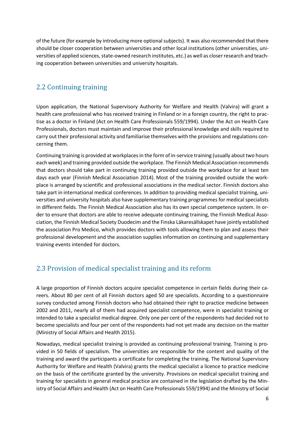of the future (for example by introducing more optional subjects). It was also recommended that there should be closer cooperation between universities and other local institutions (other universities, universities of applied sciences, state-owned research institutes, etc.) as well as closer research and teaching cooperation between universities and university hospitals.

#### <span id="page-5-0"></span>2.2 Continuing training

Upon application, the National Supervisory Authority for Welfare and Health (Valvira) will grant a health care professional who has received training in Finland or in a foreign country, the right to practise as a doctor in Finland (Act on Health Care Professionals 559/1994). Under the Act on Health Care Professionals, doctors must maintain and improve their professional knowledge and skills required to carry out their professional activity and familiarise themselves with the provisions and regulations concerning them.

Continuing training is provided at workplaces in the form of in-service training (usually about two hours each week) and training provided outside the workplace. The Finnish Medical Association recommends that doctors should take part in continuing training provided outside the workplace for at least ten days each year (Finnish Medical Association 2014). Most of the training provided outside the workplace is arranged by scientific and professional associations in the medical sector. Finnish doctors also take part in international medical conferences. In addition to providing medical specialist training, universities and university hospitals also have supplementary training programmes for medical specialists in different fields. The Finnish Medical Association also has its own special competence system. In order to ensure that doctors are able to receive adequate continuing training, the Finnish Medical Association, the Finnish Medical Society Duodecim and the Finska Läkaresällskapet have jointly established the association Pro Medico, which provides doctors with tools allowing them to plan and assess their professional development and the association supplies information on continuing and supplementary training events intended for doctors.

### <span id="page-5-1"></span>2.3 Provision of medical specialist training and its reform

A large proportion of Finnish doctors acquire specialist competence in certain fields during their careers. About 80 per cent of all Finnish doctors aged 50 are specialists. According to a questionnaire survey conducted among Finnish doctors who had obtained their right to practice medicine between 2002 and 2011, nearly all of them had acquired specialist competence, were in specialist training or intended to take a specialist medical degree. Only one per cent of the respondents had decided not to become specialists and four per cent of the respondents had not yet made any decision on the matter (Ministry of Social Affairs and Health 2015).

Nowadays, medical specialist training is provided as continuing professional training. Training is provided in 50 fields of specialism. The universities are responsible for the content and quality of the training and award the participants a certificate for completing the training. The National Supervisory Authority for Welfare and Health (Valvira) grants the medical specialist a licence to practice medicine on the basis of the certificate granted by the university. Provisions on medical specialist training and training for specialists in general medical practice are contained in the legislation drafted by the Ministry of Social Affairs and Health (Act on Health Care Professionals 559/1994) and the Ministry of Social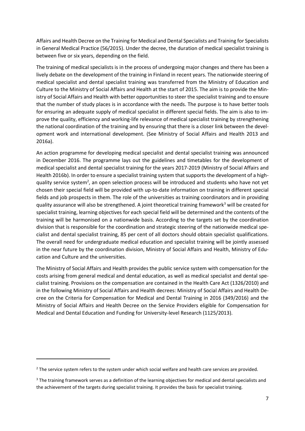Affairs and Health Decree on the Training for Medical and Dental Specialists and Training for Specialists in General Medical Practice (56/2015). Under the decree, the duration of medical specialist training is between five or six years, depending on the field.

The training of medical specialists is in the process of undergoing major changes and there has been a lively debate on the development of the training in Finland in recent years. The nationwide steering of medical specialist and dental specialist training was transferred from the Ministry of Education and Culture to the Ministry of Social Affairs and Health at the start of 2015. The aim is to provide the Ministry of Social Affairs and Health with better opportunities to steer the specialist training and to ensure that the number of study places is in accordance with the needs. The purpose is to have better tools for ensuring an adequate supply of medical specialist in different special fields. The aim is also to improve the quality, efficiency and working-life relevance of medical specialist training by strengthening the national coordination of the training and by ensuring that there is a closer link between the development work and international development. (See Ministry of Social Affairs and Health 2013 and 2016a).

An action programme for developing medical specialist and dental specialist training was announced in December 2016. The programme lays out the guidelines and timetables for the development of medical specialist and dental specialist training for the years 2017-2019 (Ministry of Social Affairs and Health 2016b). In order to ensure a specialist training system that supports the development of a highquality service system<sup>2</sup>, an open selection process will be introduced and students who have not yet chosen their special field will be provided with up-to-date information on training in different special fields and job prospects in them. The role of the universities as training coordinators and in providing quality assurance will also be strengthened. A joint theoretical training framework<sup>3</sup> will be created for specialist training, learning objectives for each special field will be determined and the contents of the training will be harmonised on a nationwide basis. According to the targets set by the coordination division that is responsible for the coordination and strategic steering of the nationwide medical specialist and dental specialist training, 85 per cent of all doctors should obtain specialist qualifications. The overall need for undergraduate medical education and specialist training will be jointly assessed in the near future by the coordination division, Ministry of Social Affairs and Health, Ministry of Education and Culture and the universities.

The Ministry of Social Affairs and Health provides the public service system with compensation for the costs arising from general medical and dental education, as well as medical specialist and dental specialist training. Provisions on the compensation are contained in the Health Care Act (1326/2010) and in the following Ministry of Social Affairs and Health decrees: Ministry of Social Affairs and Health Decree on the Criteria for Compensation for Medical and Dental Training in 2016 (349/2016) and the Ministry of Social Affairs and Health Decree on the Service Providers eligible for Compensation for Medical and Dental Education and Funding for University-level Research (1125/2013).

 $\overline{\phantom{a}}$ 

 $<sup>2</sup>$  The service system refers to the system under which social welfare and health care services are provided.</sup>

<sup>&</sup>lt;sup>3</sup> The training framework serves as a definition of the learning objectives for medical and dental specialists and the achievement of the targets during specialist training. It provides the basis for specialist training.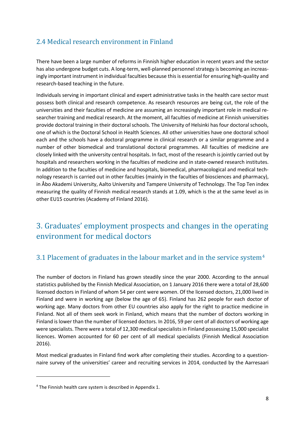### <span id="page-7-0"></span>2.4 Medical research environment in Finland

There have been a large number of reforms in Finnish higher education in recent years and the sector has also undergone budget cuts. A long-term, well-planned personnel strategy is becoming an increasingly important instrument in individual faculties because this is essential for ensuring high-quality and research-based teaching in the future.

Individuals serving in important clinical and expert administrative tasks in the health care sector must possess both clinical and research competence. As research resources are being cut, the role of the universities and their faculties of medicine are assuming an increasingly important role in medical researcher training and medical research. At the moment, all faculties of medicine at Finnish universities provide doctoral training in their doctoral schools. The University of Helsinki has four doctoral schools, one of which is the Doctoral School in Health Sciences. All other universities have one doctoral school each and the schools have a doctoral programme in clinical research or a similar programme and a number of other biomedical and translational doctoral programmes. All faculties of medicine are closely linked with the university central hospitals. In fact, most of the research is jointly carried out by hospitals and researchers working in the faculties of medicine and in state-owned research institutes. In addition to the faculties of medicine and hospitals, biomedical, pharmacological and medical technology research is carried out in other faculties (mainly in the faculties of biosciences and pharmacy), in Åbo Akademi University, Aalto University and Tampere University of Technology. The Top Ten index measuring the quality of Finnish medical research stands at 1.09, which is the at the same level as in other EU15 countries (Academy of Finland 2016).

## <span id="page-7-1"></span>3. Graduates' employment prospects and changes in the operating environment for medical doctors

### <span id="page-7-2"></span>3.1 Placement of graduates in the labour market and in the service system<sup>4</sup>

The number of doctors in Finland has grown steadily since the year 2000. According to the annual statistics published by the Finnish Medical Association, on 1 January 2016 there were a total of 28,600 licensed doctors in Finland of whom 54 per cent were women. Of the licensed doctors, 21,000 lived in Finland and were in working age (below the age of 65). Finland has 262 people for each doctor of working age. Many doctors from other EU countries also apply for the right to practice medicine in Finland. Not all of them seek work in Finland, which means that the number of doctors working in Finland is lower than the number of licensed doctors. In 2016, 59 per cent of all doctors of working age were specialists. There were a total of 12,300 medical specialists in Finland possessing 15,000 specialist licences. Women accounted for 60 per cent of all medical specialists (Finnish Medical Association 2016).

Most medical graduates in Finland find work after completing their studies. According to a questionnaire survey of the universities' career and recruiting services in 2014, conducted by the Aarresaari

 $\overline{\phantom{a}}$ 

<sup>4</sup> The Finnish health care system is described in Appendix 1.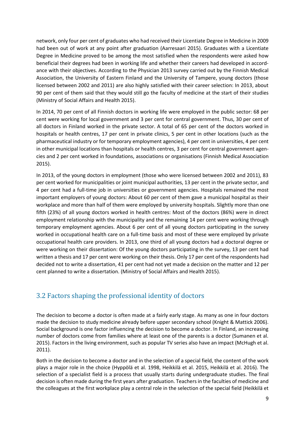network, only four per cent of graduates who had received their Licentiate Degree in Medicine in 2009 had been out of work at any point after graduation (Aarresaari 2015). Graduates with a Licentiate Degree in Medicine proved to be among the most satisfied when the respondents were asked how beneficial their degrees had been in working life and whether their careers had developed in accordance with their objectives. According to the Physician 2013 survey carried out by the Finnish Medical Association, the University of Eastern Finland and the University of Tampere, young doctors (those licensed between 2002 and 2011) are also highly satisfied with their career selection: In 2013, about 90 per cent of them said that they would still go the faculty of medicine at the start of their studies (Ministry of Social Affairs and Health 2015).

In 2014, 70 per cent of all Finnish doctors in working life were employed in the public sector: 68 per cent were working for local government and 3 per cent for central government. Thus, 30 per cent of all doctors in Finland worked in the private sector. A total of 65 per cent of the doctors worked in hospitals or health centres, 17 per cent in private clinics, 5 per cent in other locations (such as the pharmaceutical industry or for temporary employment agencies), 4 per cent in universities, 4 per cent in other municipal locations than hospitals or health centres, 3 per cent for central government agencies and 2 per cent worked in foundations, associations or organisations (Finnish Medical Association 2015).

In 2013, of the young doctors in employment (those who were licensed between 2002 and 2011), 83 per cent worked for municipalities or joint municipal authorities, 13 per cent in the private sector, and 4 per cent had a full-time job in universities or government agencies. Hospitals remained the most important employers of young doctors: About 60 per cent of them gave a municipal hospital as their workplace and more than half of them were employed by university hospitals. Slightly more than one fifth (23%) of all young doctors worked in health centres: Most of the doctors (86%) were in direct employment relationship with the municipality and the remaining 14 per cent were working through temporary employment agencies. About 6 per cent of all young doctors participating in the survey worked in occupational health care on a full-time basis and most of these were employed by private occupational health care providers. In 2013, one third of all young doctors had a doctoral degree or were working on their dissertation: Of the young doctors participating in the survey, 13 per cent had written a thesis and 17 per cent were working on their thesis. Only 17 per cent of the respondents had decided not to write a dissertation, 41 per cent had not yet made a decision on the matter and 12 per cent planned to write a dissertation. (Ministry of Social Affairs and Health 2015).

#### <span id="page-8-0"></span>3.2 Factors shaping the professional identity of doctors

The decision to become a doctor is often made at a fairly early stage. As many as one in four doctors made the decision to study medicine already before upper secondary school (Knight & Mattick 2006). Social background is one factor influencing the decision to become a doctor. In Finland, an increasing number of doctors come from families where at least one of the parents is a doctor (Sumanen et al. 2015). Factors in the living environment, such as popular TV series also have an impact (McHugh et al. 2011).

Both in the decision to become a doctor and in the selection of a special field, the content of the work plays a major role in the choice (Hyppölä et al. 1998, Heikkilä et al. 2015, Heikkilä et al. 2016). The selection of a specialist field is a process that usually starts during undergraduate studies. The final decision is often made during the first years after graduation. Teachers in the faculties of medicine and the colleagues at the first workplace play a central role in the selection of the special field (Heikkilä et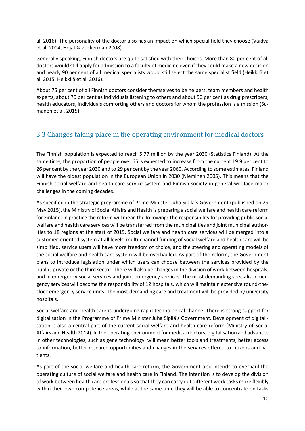al. 2016). The personality of the doctor also has an impact on which special field they choose (Vaidya et al. 2004, Hojat & Zuckerman 2008).

Generally speaking, Finnish doctors are quite satisfied with their choices. More than 80 per cent of all doctors would still apply for admission to a faculty of medicine even if they could make a new decision and nearly 90 per cent of all medical specialists would still select the same specialist field (Heikkilä et al. 2015, Heikkilä et al. 2016).

About 75 per cent of all Finnish doctors consider themselves to be helpers, team members and health experts, about 70 per cent as individuals listening to others and about 50 per cent as drug prescribers, health educators, individuals comforting others and doctors for whom the profession is a mission (Sumanen et al. 2015).

#### <span id="page-9-0"></span>3.3 Changes taking place in the operating environment for medical doctors

The Finnish population is expected to reach 5.77 million by the year 2030 (Statistics Finland). At the same time, the proportion of people over 65 is expected to increase from the current 19.9 per cent to 26 per cent by the year 2030 and to 29 per cent by the year 2060. According to some estimates, Finland will have the oldest population in the European Union in 2030 (Nieminen 2005). This means that the Finnish social welfare and health care service system and Finnish society in general will face major challenges in the coming decades.

As specified in the strategic programme of Prime Minister Juha Sipilä's Government (published on 29 May 2015), the Ministry of Social Affairs and Health is preparing a social welfare and health care reform for Finland. In practice the reform will mean the following: The responsibility for providing public social welfare and health care services will be transferred from the municipalities and joint municipal authorities to 18 regions at the start of 2019. Social welfare and health care services will be merged into a customer-oriented system at all levels, multi-channel funding of social welfare and health care will be simplified, service users will have more freedom of choice, and the steering and operating models of the social welfare and health care system will be overhauled. As part of the reform, the Government plans to introduce legislation under which users can choose between the services provided by the public, private or the third sector. There will also be changes in the division of work between hospitals, and in emergency social services and joint emergency services. The most demanding specialist emergency services will become the responsibility of 12 hospitals, which will maintain extensive round-theclock emergency service units. The most demanding care and treatment will be provided by university hospitals.

Social welfare and health care is undergoing rapid technological change. There is strong support for digitalisation in the Programme of Prime Minister Juha Sipilä's Government. Development of digitalisation is also a central part of the current social welfare and health care reform (Ministry of Social Affairs and Health 2014). In the operating environment for medical doctors, digitalisation and advances in other technologies, such as gene technology, will mean better tools and treatments, better access to information, better research opportunities and changes in the services offered to citizens and patients.

As part of the social welfare and health care reform, the Government also intends to overhaul the operating culture of social welfare and health care in Finland. The intention is to develop the division of work between health care professionals so that they can carry out different work tasks more flexibly within their own competence areas, while at the same time they will be able to concentrate on tasks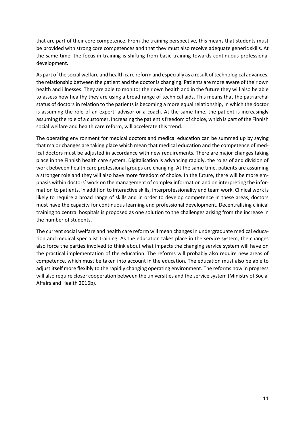that are part of their core competence. From the training perspective, this means that students must be provided with strong core competences and that they must also receive adequate generic skills. At the same time, the focus in training is shifting from basic training towards continuous professional development.

As part of the social welfare and health care reform and especially as a result of technological advances, the relationship between the patient and the doctor is changing. Patients are more aware of their own health and illnesses. They are able to monitor their own health and in the future they will also be able to assess how healthy they are using a broad range of technical aids. This means that the patriarchal status of doctors in relation to the patients is becoming a more equal relationship, in which the doctor is assuming the role of an expert, advisor or a coach. At the same time, the patient is increasingly assuming the role of a customer. Increasing the patient's freedom of choice, which is part of the Finnish social welfare and health care reform, will accelerate this trend.

The operating environment for medical doctors and medical education can be summed up by saying that major changes are taking place which mean that medical education and the competence of medical doctors must be adjusted in accordance with new requirements. There are major changes taking place in the Finnish health care system. Digitalisation is advancing rapidly, the roles of and division of work between health care professional groups are changing. At the same time, patients are assuming a stronger role and they will also have more freedom of choice. In the future, there will be more emphasis within doctors' work on the management of complex information and on interpreting the information to patients, in addition to interactive skills, interprofessionality and team work. Clinical work is likely to require a broad range of skills and in order to develop competence in these areas, doctors must have the capacity for continuous learning and professional development. Decentralising clinical training to central hospitals is proposed as one solution to the challenges arising from the increase in the number of students.

The current social welfare and health care reform will mean changes in undergraduate medical education and medical specialist training. As the education takes place in the service system, the changes also force the parties involved to think about what impacts the changing service system will have on the practical implementation of the education. The reforms will probably also require new areas of competence, which must be taken into account in the education. The education must also be able to adjust itself more flexibly to the rapidly changing operating environment. The reforms now in progress will also require closer cooperation between the universities and the service system (Ministry of Social Affairs and Health 2016b).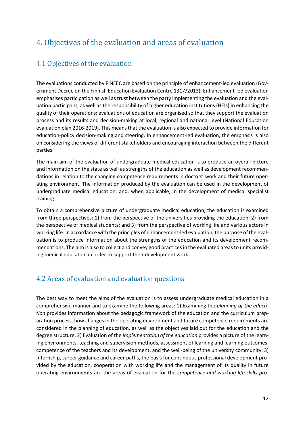## <span id="page-11-0"></span>4. Objectives of the evaluation and areas of evaluation

### <span id="page-11-1"></span>4.1 Objectives of the evaluation

The evaluations conducted by FINEEC are based on the principle of enhancement-led evaluation (Government Decree on the Finnish Education Evaluation Centre 1317/2013). Enhancement-led evaluation emphasises participation as well as trust between the party implementing the evaluation and the evaluation participant, as well as the responsibility of higher education institutions (HEIs) in enhancing the quality of their operations; evaluations of education are organised so that they support the evaluation process and its results and decision-making at local, regional and national level (National Education evaluation plan 2016-2019). This means that the evaluation is also expected to provide information for education-policy decision-making and steering. In enhancement-led evaluation, the emphasis is also on considering the views of different stakeholders and encouraging interaction between the different parties.

The main aim of the evaluation of undergraduate medical education is to produce an overall picture and information on the state as well as strengths of the education as well as development recommendations in relation to the changing competence requirements in doctors' work and their future operating environment. The information produced by the evaluation can be used in the development of undergraduate medical education, and, when applicable, in the development of medical specialist training.

To obtain a comprehensive picture of undergraduate medical education, the education is examined from three perspectives: 1) from the perspective of the universities providing the education; 2) from the perspective of medical students; and 3) from the perspective of working life and various actors in working life. In accordance with the principles of enhancement-led evaluation, the purpose of the evaluation is to produce information about the strengths of the education and its development recommendations. The aim is also to collect and convey good practices in the evaluated areas to units providing medical education in order to support their development work.

### <span id="page-11-2"></span>4.2 Areas of evaluation and evaluation questions

The best way to meet the aims of the evaluation is to assess undergraduate medical education in a comprehensive manner and to examine the following areas: 1) Examining the *planning of the education* provides information about the pedagogic framework of the education and the curriculum preparation process, how changes in the operating environment and future competence requirements are considered in the planning of education, as well as the objectives laid out for the education and the degree structure. 2) Evaluation of the *implementation of the education* provides a picture of the learning environments, teaching and supervision methods, assessment of learning and learning outcomes, competence of the teachers and its development, and the well-being of the university community. 3) Internship, career guidance and career paths, the basis for continuous professional development provided by the education, cooperation with working life and the management of its quality in future operating environments are the areas of evaluation for the *competence and working-life skills pro-*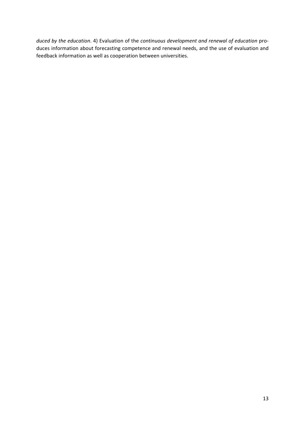*duced by the education*. 4) Evaluation of the *continuous development and renewal of education* produces information about forecasting competence and renewal needs, and the use of evaluation and feedback information as well as cooperation between universities.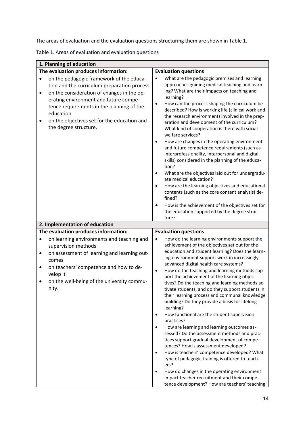The areas of evaluation and the evaluation questions structuring them are shown in Table 1.

Table 1. Areas of evaluation and evaluation questions

| 1. Planning of education                                                                                                                                                                                                                                                                                                                        |                                                                                                                                                                                                                                                                                                                                                                                                                                                                                                                                                                                                                                                                                                                                                                                                                                                                                                                                                                                                                                                                                                                                                         |
|-------------------------------------------------------------------------------------------------------------------------------------------------------------------------------------------------------------------------------------------------------------------------------------------------------------------------------------------------|---------------------------------------------------------------------------------------------------------------------------------------------------------------------------------------------------------------------------------------------------------------------------------------------------------------------------------------------------------------------------------------------------------------------------------------------------------------------------------------------------------------------------------------------------------------------------------------------------------------------------------------------------------------------------------------------------------------------------------------------------------------------------------------------------------------------------------------------------------------------------------------------------------------------------------------------------------------------------------------------------------------------------------------------------------------------------------------------------------------------------------------------------------|
| The evaluation produces information:                                                                                                                                                                                                                                                                                                            | <b>Evaluation questions</b>                                                                                                                                                                                                                                                                                                                                                                                                                                                                                                                                                                                                                                                                                                                                                                                                                                                                                                                                                                                                                                                                                                                             |
| on the pedagogic framework of the educa-<br>$\bullet$<br>tion and the curriculum preparation process<br>on the consideration of changes in the op-<br>$\bullet$<br>erating environment and future compe-<br>tence requirements in the planning of the<br>education<br>on the objectives set for the education and<br>٠<br>the degree structure. | What are the pedagogic premises and learning<br>$\bullet$<br>approaches guiding medical teaching and learn-<br>ing? What are their impacts on teaching and<br>learning?<br>How can the process shaping the curriculum be<br>$\bullet$<br>described? How is working life (clinical work and<br>the research environment) involved in the prep-<br>aration and development of the curriculum?<br>What kind of cooperation is there with social<br>welfare services?<br>How are changes in the operating environment<br>$\bullet$<br>and future competence requirements (such as<br>interprofessionality, interpersonal and digital<br>skills) considered in the planning of the educa-<br>tion?<br>What are the objectives laid out for undergradu-<br>$\bullet$<br>ate medical education?<br>How are the learning objectives and educational<br>$\bullet$<br>contents (such as the core content analysis) de-<br>fined?<br>How is the achievement of the objectives set for<br>the education supported by the degree struc-                                                                                                                              |
|                                                                                                                                                                                                                                                                                                                                                 | ture?                                                                                                                                                                                                                                                                                                                                                                                                                                                                                                                                                                                                                                                                                                                                                                                                                                                                                                                                                                                                                                                                                                                                                   |
| 2. Implementation of education                                                                                                                                                                                                                                                                                                                  |                                                                                                                                                                                                                                                                                                                                                                                                                                                                                                                                                                                                                                                                                                                                                                                                                                                                                                                                                                                                                                                                                                                                                         |
| The evaluation produces information:                                                                                                                                                                                                                                                                                                            | <b>Evaluation questions</b>                                                                                                                                                                                                                                                                                                                                                                                                                                                                                                                                                                                                                                                                                                                                                                                                                                                                                                                                                                                                                                                                                                                             |
| on learning environments and teaching and<br>$\bullet$<br>supervision methods<br>on assessment of learning and learning out-<br>$\bullet$<br>comes<br>on teachers' competence and how to de-<br>$\bullet$<br>velop it<br>on the well-being of the university commu-<br>$\bullet$<br>nity.                                                       | How do the learning environments support the<br>$\bullet$<br>achievement of the objectives set out for the<br>education and student learning? Does the learn-<br>ing environment support work in increasingly<br>advanced digital health care systems?<br>How do the teaching and learning methods sup-<br>$\bullet$<br>port the achievement of the learning objec-<br>tives? Do the teaching and learning methods ac-<br>tivate students, and do they support students in<br>their learning process and communal knowledge<br>building? Do they provide a basis for lifelong<br>learning?<br>How functional are the student supervision<br>$\bullet$<br>practices?<br>How are learning and learning outcomes as-<br>$\bullet$<br>sessed? Do the assessment methods and prac-<br>tices support gradual development of compe-<br>tences? How is assessment developed?<br>How is teachers' competence developed? What<br>$\bullet$<br>type of pedagogic training is offered to teach-<br>ers?<br>How do changes in the operating environment<br>$\bullet$<br>impact teacher recruitment and their compe-<br>tence development? How are teachers' teaching |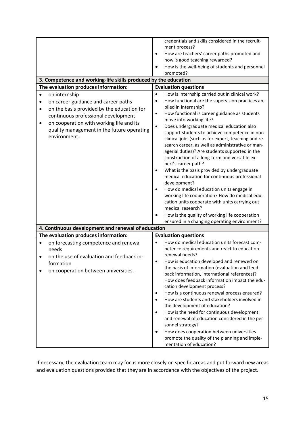|                                                                 | credentials and skills considered in the recruit-<br>ment process?                              |
|-----------------------------------------------------------------|-------------------------------------------------------------------------------------------------|
|                                                                 | How are teachers' career paths promoted and<br>$\bullet$                                        |
|                                                                 | how is good teaching rewarded?                                                                  |
|                                                                 | How is the well-being of students and personnel<br>promoted?                                    |
| 3. Competence and working-life skills produced by the education |                                                                                                 |
| The evaluation produces information:                            | <b>Evaluation questions</b>                                                                     |
| on internship<br>$\bullet$                                      | How is internship carried out in clinical work?<br>$\bullet$                                    |
|                                                                 | How functional are the supervision practices ap-<br>$\bullet$                                   |
| on career guidance and career paths                             | plied in internship?                                                                            |
| on the basis provided by the education for<br>$\bullet$         | How functional is career guidance as students<br>$\bullet$                                      |
| continuous professional development                             | move into working life?                                                                         |
| on cooperation with working life and its<br>$\bullet$           | Does undergraduate medical education also<br>$\bullet$                                          |
| quality management in the future operating                      | support students to achieve competence in non-                                                  |
| environment.                                                    | clinical jobs (such as for expert, teaching and re-                                             |
|                                                                 | search career, as well as administrative or man-                                                |
|                                                                 | agerial duties)? Are students supported in the                                                  |
|                                                                 | construction of a long-term and versatile ex-                                                   |
|                                                                 | pert's career path?                                                                             |
|                                                                 | What is the basis provided by undergraduate<br>۰                                                |
|                                                                 | medical education for continuous professional                                                   |
|                                                                 | development?                                                                                    |
|                                                                 | How do medical education units engage in<br>$\bullet$                                           |
|                                                                 | working life cooperation? How do medical edu-<br>cation units cooperate with units carrying out |
|                                                                 | medical research?                                                                               |
|                                                                 | How is the quality of working life cooperation                                                  |
|                                                                 | ensured in a changing operating environment?                                                    |
| 4. Continuous development and renewal of education              |                                                                                                 |
| The evaluation produces information:                            | <b>Evaluation questions</b>                                                                     |
| on forecasting competence and renewal<br>$\bullet$              | How do medical education units forecast com-<br>$\bullet$                                       |
| needs                                                           | petence requirements and react to education                                                     |
| on the use of evaluation and feedback in-                       | renewal needs?                                                                                  |
| formation                                                       | How is education developed and renewed on<br>$\bullet$                                          |
| on cooperation between universities.                            | the basis of information (evaluation and feed-                                                  |
|                                                                 | back information, international references)?                                                    |
|                                                                 | How does feedback information impact the edu-                                                   |
|                                                                 | cation development process?                                                                     |
|                                                                 | How is a continuous renewal process ensured?<br>$\bullet$                                       |
|                                                                 | How are students and stakeholders involved in<br>$\bullet$<br>the development of education?     |
|                                                                 | How is the need for continuous development<br>$\bullet$                                         |
|                                                                 | and renewal of education considered in the per-<br>sonnel strategy?                             |
|                                                                 | How does cooperation between universities<br>$\bullet$                                          |
|                                                                 | promote the quality of the planning and imple-                                                  |
|                                                                 | mentation of education?                                                                         |

If necessary, the evaluation team may focus more closely on specific areas and put forward new areas and evaluation questions provided that they are in accordance with the objectives of the project.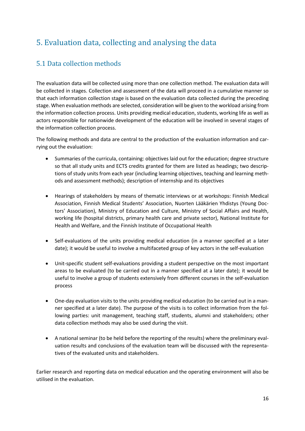## <span id="page-15-0"></span>5. Evaluation data, collecting and analysing the data

### <span id="page-15-1"></span>5.1 Data collection methods

The evaluation data will be collected using more than one collection method. The evaluation data will be collected in stages. Collection and assessment of the data will proceed in a cumulative manner so that each information collection stage is based on the evaluation data collected during the preceding stage. When evaluation methods are selected, consideration will be given to the workload arising from the information collection process. Units providing medical education, students, working life as well as actors responsible for nationwide development of the education will be involved in several stages of the information collection process.

The following methods and data are central to the production of the evaluation information and carrying out the evaluation:

- Summaries of the curricula, containing: objectives laid out for the education; degree structure so that all study units and ECTS credits granted for them are listed as headings; two descriptions of study units from each year (including learning objectives, teaching and learning methods and assessment methods); description of internship and its objectives
- Hearings of stakeholders by means of thematic interviews or at workshops: Finnish Medical Association, Finnish Medical Students' Association, Nuorten Lääkärien Yhdistys (Young Doctors' Association), Ministry of Education and Culture, Ministry of Social Affairs and Health, working life (hospital districts, primary health care and private sector), National Institute for Health and Welfare, and the Finnish Institute of Occupational Health
- Self-evaluations of the units providing medical education (in a manner specified at a later date); it would be useful to involve a multifaceted group of key actors in the self-evaluation
- Unit-specific student self-evaluations providing a student perspective on the most important areas to be evaluated (to be carried out in a manner specified at a later date); it would be useful to involve a group of students extensively from different courses in the self-evaluation process
- One-day evaluation visits to the units providing medical education (to be carried out in a manner specified at a later date). The purpose of the visits is to collect information from the following parties: unit management, teaching staff, students, alumni and stakeholders; other data collection methods may also be used during the visit.
- A national seminar (to be held before the reporting of the results) where the preliminary evaluation results and conclusions of the evaluation team will be discussed with the representatives of the evaluated units and stakeholders.

Earlier research and reporting data on medical education and the operating environment will also be utilised in the evaluation.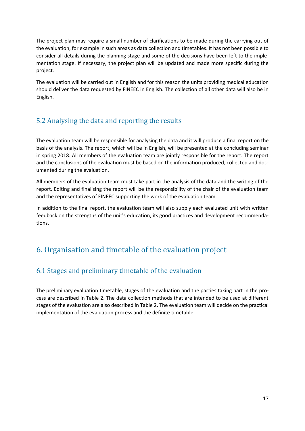The project plan may require a small number of clarifications to be made during the carrying out of the evaluation, for example in such areas as data collection and timetables. It has not been possible to consider all details during the planning stage and some of the decisions have been left to the implementation stage. If necessary, the project plan will be updated and made more specific during the project.

The evaluation will be carried out in English and for this reason the units providing medical education should deliver the data requested by FINEEC in English. The collection of all other data will also be in English.

### <span id="page-16-0"></span>5.2 Analysing the data and reporting the results

The evaluation team will be responsible for analysing the data and it will produce a final report on the basis of the analysis. The report, which will be in English, will be presented at the concluding seminar in spring 2018. All members of the evaluation team are jointly responsible for the report. The report and the conclusions of the evaluation must be based on the information produced, collected and documented during the evaluation.

All members of the evaluation team must take part in the analysis of the data and the writing of the report. Editing and finalising the report will be the responsibility of the chair of the evaluation team and the representatives of FINEEC supporting the work of the evaluation team.

In addition to the final report, the evaluation team will also supply each evaluated unit with written feedback on the strengths of the unit's education, its good practices and development recommendations.

## <span id="page-16-1"></span>6. Organisation and timetable of the evaluation project

### <span id="page-16-2"></span>6.1 Stages and preliminary timetable of the evaluation

The preliminary evaluation timetable, stages of the evaluation and the parties taking part in the process are described in Table 2. The data collection methods that are intended to be used at different stages of the evaluation are also described in Table 2. The evaluation team will decide on the practical implementation of the evaluation process and the definite timetable.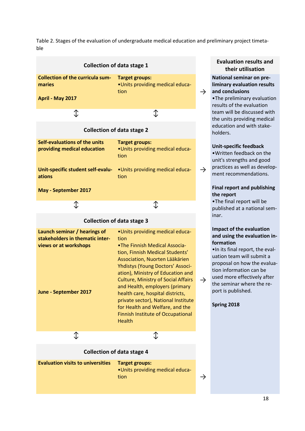Table 2. Stages of the evaluation of undergraduate medical education and preliminary project timetable

| <b>Collection of data stage 1</b>                                                                                 |                                                                                                                                                                                                                                                                                                                                                                                                                                                                                   |  |
|-------------------------------------------------------------------------------------------------------------------|-----------------------------------------------------------------------------------------------------------------------------------------------------------------------------------------------------------------------------------------------------------------------------------------------------------------------------------------------------------------------------------------------------------------------------------------------------------------------------------|--|
| <b>Collection of the curricula sum-</b><br>maries<br>April - May 2017                                             | <b>Target groups:</b><br>.Units providing medical educa-<br>tion                                                                                                                                                                                                                                                                                                                                                                                                                  |  |
| ⇕                                                                                                                 | ⇕                                                                                                                                                                                                                                                                                                                                                                                                                                                                                 |  |
| <b>Collection of data stage 2</b>                                                                                 |                                                                                                                                                                                                                                                                                                                                                                                                                                                                                   |  |
| Self-evaluations of the units<br>providing medical education                                                      | <b>Target groups:</b><br>.Units providing medical educa-<br>tion                                                                                                                                                                                                                                                                                                                                                                                                                  |  |
| Unit-specific student self-evalu-<br>ations                                                                       | •Units providing medical educa-<br>tion                                                                                                                                                                                                                                                                                                                                                                                                                                           |  |
| May - September 2017                                                                                              |                                                                                                                                                                                                                                                                                                                                                                                                                                                                                   |  |
| ⇕                                                                                                                 | ⇕                                                                                                                                                                                                                                                                                                                                                                                                                                                                                 |  |
|                                                                                                                   | <b>Collection of data stage 3</b>                                                                                                                                                                                                                                                                                                                                                                                                                                                 |  |
| Launch seminar / hearings of<br>stakeholders in thematic inter-<br>views or at workshops<br>June - September 2017 | .Units providing medical educa-<br>tion<br>.The Finnish Medical Associa-<br>tion, Finnish Medical Students'<br>Association, Nuorten Lääkärien<br>Yhdistys (Young Doctors' Associ-<br>ation), Ministry of Education and<br><b>Culture, Ministry of Social Affairs</b><br>and Health, employers (primary<br>health care, hospital districts,<br>private sector), National Institute<br>for Health and Welfare, and the<br><b>Finnish Institute of Occupational</b><br><b>Health</b> |  |
| $\mathbb T$                                                                                                       | Ֆ                                                                                                                                                                                                                                                                                                                                                                                                                                                                                 |  |
| <b>Collection of data stage 4</b>                                                                                 |                                                                                                                                                                                                                                                                                                                                                                                                                                                                                   |  |
| <b>Evaluation visits to universities</b>                                                                          | <b>Target groups:</b><br>.Units providing medical educa-<br>tion                                                                                                                                                                                                                                                                                                                                                                                                                  |  |

#### **Evaluation results and their utilisation**

#### **National seminar on preliminary evaluation results and conclusions**

•The preliminary evaluation results of the evaluation team will be discussed with the units providing medical education and with stakeholders.

#### **Unit-specific feedback**

•Written feedback on the unit's strengths and good practices as well as development recommendations.

#### **Final report and publishing the report**

•The final report will be published at a national seminar.

#### **Impact of the evaluation and using the evaluation information**

•In its final report, the evaluation team will submit a proposal on how the evaluation information can be used more effectively after the seminar where the report is published.

**Spring 2018**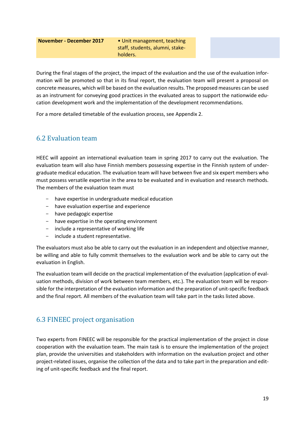#### **November - December 2017** • Unit management, teaching

staff, students, alumni, stakeholders.

During the final stages of the project, the impact of the evaluation and the use of the evaluation information will be promoted so that in its final report, the evaluation team will present a proposal on concrete measures, which will be based on the evaluation results. The proposed measures can be used as an instrument for conveying good practices in the evaluated areas to support the nationwide education development work and the implementation of the development recommendations.

For a more detailed timetable of the evaluation process, see Appendix 2.

#### <span id="page-18-0"></span>6.2 Evaluation team

HEEC will appoint an international evaluation team in spring 2017 to carry out the evaluation. The evaluation team will also have Finnish members possessing expertise in the Finnish system of undergraduate medical education. The evaluation team will have between five and six expert members who must possess versatile expertise in the area to be evaluated and in evaluation and research methods. The members of the evaluation team must

- have expertise in undergraduate medical education
- have evaluation expertise and experience
- have pedagogic expertise
- have expertise in the operating environment
- include a representative of working life
- include a student representative.

The evaluators must also be able to carry out the evaluation in an independent and objective manner, be willing and able to fully commit themselves to the evaluation work and be able to carry out the evaluation in English.

The evaluation team will decide on the practical implementation of the evaluation (application of evaluation methods, division of work between team members, etc.). The evaluation team will be responsible for the interpretation of the evaluation information and the preparation of unit-specific feedback and the final report. All members of the evaluation team will take part in the tasks listed above.

### <span id="page-18-1"></span>6.3 FINEEC project organisation

Two experts from FINEEC will be responsible for the practical implementation of the project in close cooperation with the evaluation team. The main task is to ensure the implementation of the project plan, provide the universities and stakeholders with information on the evaluation project and other project-related issues, organise the collection of the data and to take part in the preparation and editing of unit-specific feedback and the final report.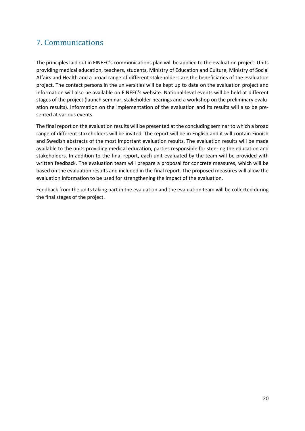## <span id="page-19-0"></span>7. Communications

The principles laid out in FINEEC's communications plan will be applied to the evaluation project. Units providing medical education, teachers, students, Ministry of Education and Culture, Ministry of Social Affairs and Health and a broad range of different stakeholders are the beneficiaries of the evaluation project. The contact persons in the universities will be kept up to date on the evaluation project and information will also be available on FINEEC's website. National-level events will be held at different stages of the project (launch seminar, stakeholder hearings and a workshop on the preliminary evaluation results). Information on the implementation of the evaluation and its results will also be presented at various events.

The final report on the evaluation results will be presented at the concluding seminar to which a broad range of different stakeholders will be invited. The report will be in English and it will contain Finnish and Swedish abstracts of the most important evaluation results. The evaluation results will be made available to the units providing medical education, parties responsible for steering the education and stakeholders. In addition to the final report, each unit evaluated by the team will be provided with written feedback. The evaluation team will prepare a proposal for concrete measures, which will be based on the evaluation results and included in the final report. The proposed measures will allow the evaluation information to be used for strengthening the impact of the evaluation.

Feedback from the units taking part in the evaluation and the evaluation team will be collected during the final stages of the project.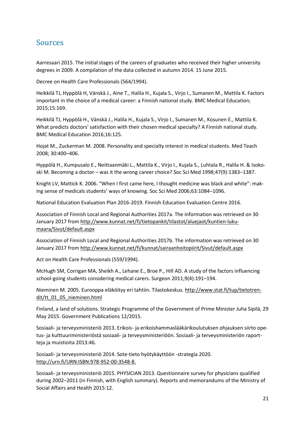### <span id="page-20-0"></span>Sources

Aarresaari 2015. The initial stages of the careers of graduates who received their higher university degrees in 2009. A compilation of the data collected in autumn 2014. 15 June 2015.

Decree on Health Care Professionals (564/1994).

Heikkilä TJ, Hyppölä H, Vänskä J., Aine T., Halila H., Kujala S., Virjo I., Sumanen M., Mattila K. Factors important in the choice of a medical career: a Finnish national study. BMC Medical Education; 2015;15:169.

Heikkilä TJ, Hyppölä H., Vänskä J., Halila H., Kujala S., Virjo I., Sumanen M., Kosunen E., Mattila K. What predicts doctors' satisfaction with their chosen medical specialty? A Finnish national study. BMC Medical Education 2016;16:125.

Hojat M., Zuckerman M. 2008. Personality and specialty interest in medical students. Med Teach 2008; 30:400–406.

Hyppölä H., Kumpusalo E., Neittaanmäki L., Mattila K., Virjo I., Kujala S., Luhtala R., Halila H. & Isokoski M. Becoming a doctor – was it the wrong career choice? Soc Sci Med 1998;47(9):1383–1387.

Knight LV, Mattick K. 2006. "When I first came here, I thought medicine was black and white": making sense of medicals students' ways of knowing. Soc Sci Med 2006;63:1084–1096.

National Education Evaluation Plan 2016-2019. Finnish Education Evaluation Centre 2016.

Association of Finnish Local and Regional Authorities 2017a. The information was retrieved on 30 January 2017 from [http://www.kunnat.net/fi/tietopankit/tilastot/aluejaot/kuntien-luku](http://www.kunnat.net/fi/tietopankit/tilastot/aluejaot/kuntien-lukumaara/Sivut/default.aspx)[maara/Sivut/default.aspx](http://www.kunnat.net/fi/tietopankit/tilastot/aluejaot/kuntien-lukumaara/Sivut/default.aspx)

Association of Finnish Local and Regional Authorities 2017b. The information was retrieved on 30 January 2017 from<http://www.kunnat.net/fi/kunnat/sairaanhoitopiirit/Sivut/default.aspx>

Act on Health Care Professionals (559/1994).

McHugh SM, Corrigan MA, Sheikh A., Lehane E., Broe P., Hill AD. A study of the factors influencing school-going students considering medical carers. Surgeon 2011;9(4):191–194.

Nieminen M. 2005. Eurooppa eläköityy eri tahtiin. Tilastokeskus. [http://www.stat.fi/tup/tietotren](http://www.stat.fi/tup/tietotrendit/tt_01_05_nieminen.html)[dit/tt\\_01\\_05\\_nieminen.html](http://www.stat.fi/tup/tietotrendit/tt_01_05_nieminen.html)

Finland, a land of solutions. Strategic Programme of the Government of Prime Minister Juha Sipilä, 29 May 2015. Government Publications 12/2015.

Sosiaali- ja terveysministeriö 2013. Erikois- ja erikoishammaslääkärikoulutuksen ohjauksen siirto opetus- ja kulttuuriministeriöstä sosiaali- ja terveysministeriöön. Sosiaali- ja terveysministeriön raportteja ja muistioita 2013:46.

Sosiaali- ja terveysministeriö 2014. Sote-tieto hyötykäyttöön -strategia 2020. [http://urn.fi/URN:ISBN:978-952-00-3548-8.](http://urn.fi/URN:ISBN:978-952-00-3548-8)

Sosiaali- ja terveysministeriö 2015. PHYSICIAN 2013. Questionnaire survey for physicians qualified during 2002–2011 (in Finnish, with English summary). Reports and memorandums of the Ministry of Social Affairs and Health 2015:12.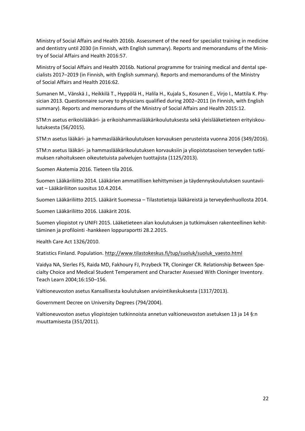Ministry of Social Affairs and Health 2016b. Assessment of the need for specialist training in medicine and dentistry until 2030 (in Finnish, with English summary). Reports and memorandums of the Ministry of Social Affairs and Health 2016:57.

Ministry of Social Affairs and Health 2016b. National programme for training medical and dental specialists 2017–2019 (in Finnish, with English summary). Reports and memorandums of the Ministry of Social Affairs and Health 2016:62.

Sumanen M., Vänskä J., Heikkilä T., Hyppölä H., Halila H., Kujala S., Kosunen E., Virjo I., Mattila K. Physician 2013. Questionnaire survey to physicians qualified during 2002–2011 (in Finnish, with English summary). Reports and memorandums of the Ministry of Social Affairs and Health 2015:12.

STM:n asetus erikoislääkäri- ja erikoishammaslääkärikoulutuksesta sekä yleislääketieteen erityiskoulutuksesta (56/2015).

STM:n asetus lääkäri- ja hammaslääkärikoulutuksen korvauksen perusteista vuonna 2016 (349/2016).

STM:n asetus lääkäri- ja hammaslääkärikoulutuksen korvauksiin ja yliopistotasoisen terveyden tutkimuksen rahoitukseen oikeutetuista palvelujen tuottajista (1125/2013).

Suomen Akatemia 2016. Tieteen tila 2016.

Suomen Lääkäriliitto 2014. Lääkärien ammatillisen kehittymisen ja täydennyskoulutuksen suuntaviivat – Lääkäriliiton suositus 10.4.2014.

Suomen Lääkäriliitto 2015. Lääkärit Suomessa – Tilastotietoja lääkäreistä ja terveydenhuollosta 2014.

Suomen Lääkäriliitto 2016. Lääkärit 2016.

Suomen yliopistot ry UNIFI 2015. Lääketieteen alan koulutuksen ja tutkimuksen rakenteellinen kehittäminen ja profilointi -hankkeen loppuraportti 28.2.2015.

Health Care Act 1326/2010.

Statistics Finland. Population. [http://www.tilastokeskus.fi/tup/suoluk/suoluk\\_vaesto.html](http://www.tilastokeskus.fi/tup/suoluk/suoluk_vaesto.html)

Vaidya NA, SIerles FS, Raida MD, Fakhoury FJ, Przybeck TR, Cloninger CR. Relationship Between Specialty Choice and Medical Student Temperament and Character Assessed With Cloninger Inventory. Teach Learn 2004;16:150–156.

Valtioneuvoston asetus Kansallisesta koulutuksen arviointikeskuksesta (1317/2013).

Government Decree on University Degrees (794/2004).

Valtioneuvoston asetus yliopistojen tutkinnoista annetun valtioneuvoston asetuksen 13 ja 14 §:n muuttamisesta (351/2011).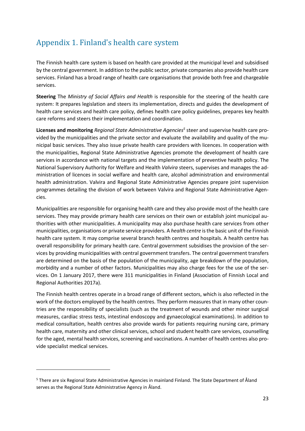## <span id="page-22-0"></span>Appendix 1. Finland's health care system

The Finnish health care system is based on health care provided at the municipal level and subsidised by the central government. In addition to the public sector, private companies also provide health care services. Finland has a broad range of health care organisations that provide both free and chargeable services.

**Steering** The *Ministry of Social Affairs and Health* is responsible for the steering of the health care system: It prepares legislation and steers its implementation, directs and guides the development of health care services and health care policy, defines health care policy guidelines, prepares key health care reforms and steers their implementation and coordination.

**Licenses and monitoring** *Regional State Administrative Agencies<sup>5</sup>* steer and supervise health care provided by the municipalities and the private sector and evaluate the availability and quality of the municipal basic services. They also issue private health care providers with licences. In cooperation with the municipalities, Regional State Administrative Agencies promote the development of health care services in accordance with national targets and the implementation of preventive health policy. The National Supervisory Authority for Welfare and Health *Valvira* steers, supervises and manages the administration of licences in social welfare and health care, alcohol administration and environmental health administration. Valvira and Regional State Administrative Agencies prepare joint supervision programmes detailing the division of work between Valvira and Regional State Administrative Agencies.

Municipalities are responsible for organising health care and they also provide most of the health care services. They may provide primary health care services on their own or establish joint municipal authorities with other municipalities. A municipality may also purchase health care services from other municipalities, organisations or private service providers. A *health centre* is the basic unit of the Finnish health care system. It may comprise several branch health centres and hospitals. A health centre has overall responsibility for primary health care. Central government subsidises the provision of the services by providing municipalities with central government transfers. The central government transfers are determined on the basis of the population of the municipality, age breakdown of the population, morbidity and a number of other factors. Municipalities may also charge fees for the use of the services. On 1 January 2017, there were 311 municipalities in Finland (Association of Finnish Local and Regional Authorities 2017a).

The Finnish health centres operate in a broad range of different sectors, which is also reflected in the work of the doctors employed by the health centres. They perform measures that in many other countries are the responsibility of specialists (such as the treatment of wounds and other minor surgical measures, cardiac stress tests, intestinal endoscopy and gynaecological examinations). In addition to medical consultation, health centres also provide wards for patients requiring nursing care, primary health care, maternity and other clinical services, school and student health care services, counselling for the aged, mental health services, screening and vaccinations. A number of health centres also provide specialist medical services.

l

<sup>5</sup> There are six Regional State Administrative Agencies in mainland Finland. The State Department of Åland serves as the Regional State Administrative Agency in Åland.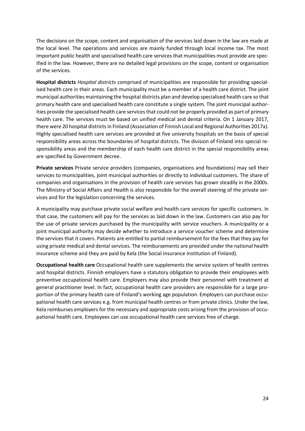The decisions on the scope, content and organisation of the services laid down in the law are made at the local level. The operations and services are mainly funded through local income tax. The most important public health and specialised health care services that municipalities must provide are specified in the law. However, there are no detailed legal provisions on the scope, content or organisation of the services.

**Hospital districts** *Hospital districts* comprised of municipalities are responsible for providing specialised health care in their areas. Each municipality must be a member of a health care district. The joint municipal authorities maintaining the hospital districts plan and develop specialised health care so that primary health care and specialised health care constitute a single system. The joint municipal authorities provide the specialised health care services that could not be properly provided as part of primary health care. The services must be based on unified medical and dental criteria. On 1 January 2017, there were 20 hospital districts in Finland (Association of Finnish Local and Regional Authorities 2017a). Highly specialised health care services are provided at five university hospitals on the basis of special responsibility areas across the boundaries of hospital districts. The division of Finland into special responsibility areas and the membership of each health care district in the special responsibility areas are specified by Government decree.

**Private services** Private service providers (companies, organisations and foundations) may sell their services to municipalities, joint municipal authorities or directly to individual customers. The share of companies and organisations in the provision of health care services has grown steadily in the 2000s. The Ministry of Social Affairs and Health is also responsible for the overall steering of the private services and for the legislation concerning the services.

A municipality may purchase private social welfare and health care services for specific customers. In that case, the customers will pay for the services as laid down in the law. Customers can also pay for the use of private services purchased by the municipality with service vouchers. A municipality or a joint municipal authority may decide whether to introduce a service voucher scheme and determine the services that it covers. Patients are entitled to partial reimbursement for the fees that they pay for using private medical and dental services. The reimbursements are provided under the national health insurance scheme and they are paid by Kela (the Social Insurance Institution of Finland).

**Occupational health care** Occupational health care supplements the service system of health centres and hospital districts. Finnish employers have a statutory obligation to provide their employees with preventive occupational health care. Employers may also provide their personnel with treatment at general practitioner level. In fact, occupational health care providers are responsible for a large proportion of the primary health care of Finland's working age population. Employers can purchase occupational health care services e.g. from municipal health centres or from private clinics. Under the law, Kela reimburses employers for the necessary and appropriate costs arising from the provision of occupational health care. Employees can use occupational health care services free of charge.